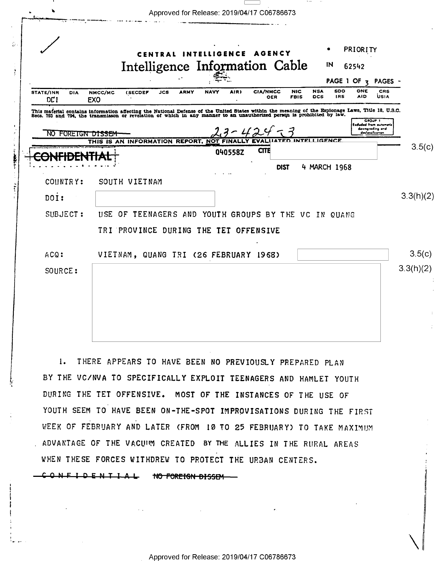|                                                                                                                                                                                                                                   |                       |                                                  | CENTRAL |             | INTELLIGENCE |         | AGENCY                 |                           |                   |                   | PRIORITY          |                                                                           |
|-----------------------------------------------------------------------------------------------------------------------------------------------------------------------------------------------------------------------------------|-----------------------|--------------------------------------------------|---------|-------------|--------------|---------|------------------------|---------------------------|-------------------|-------------------|-------------------|---------------------------------------------------------------------------|
|                                                                                                                                                                                                                                   |                       | Intelligence Information Cable                   |         |             |              |         |                        |                           |                   | IN                | 62542             |                                                                           |
|                                                                                                                                                                                                                                   |                       |                                                  |         |             |              |         |                        |                           |                   |                   | PAGE 1 OF $7$     | PAGES -                                                                   |
| STATE/INR<br><b>DIA</b><br>DC1                                                                                                                                                                                                    | NMCC/MC<br><b>EXO</b> | (SECDEF                                          | JCS     | <b>ARMY</b> | <b>NAVY</b>  | AIR)    | <b>CIA/NMCC</b><br>OER | <b>NIC</b><br><b>FBIS</b> | <b>NSA</b><br>DCS | SDO<br><b>IRS</b> | ONE<br><b>AID</b> | CRS<br><b>USIA</b>                                                        |
| This material contains information affecting the National Defense of the United States within the meaning of the Espionage Laws, Title 18, U.S.C.<br>Secs. 793 and 794, the transmisson or revelation of which in any manner to a |                       |                                                  |         |             |              |         |                        |                           |                   |                   |                   |                                                                           |
| NO.<br>FORETGN DISSEM                                                                                                                                                                                                             |                       |                                                  |         |             |              |         |                        |                           |                   |                   |                   | GROUP I<br>Escluded from outomatic<br>downgrading ond<br>declessification |
|                                                                                                                                                                                                                                   |                       | THIS IS AN INFORMATION REPORT, NOT               |         |             |              |         |                        |                           | INTEL L           | IGENCE            |                   |                                                                           |
|                                                                                                                                                                                                                                   |                       |                                                  |         |             |              | 040558Z | <b>CITE</b>            |                           |                   |                   |                   |                                                                           |
|                                                                                                                                                                                                                                   |                       |                                                  |         |             |              |         |                        | <b>DIST</b>               | 4 MARCH 1968      |                   |                   |                                                                           |
| COUNTRY:                                                                                                                                                                                                                          |                       | SOUTH VIETNAM                                    |         |             |              |         |                        |                           |                   |                   |                   |                                                                           |
| $\overline{D}$ $\overline{I}$ :                                                                                                                                                                                                   |                       |                                                  |         |             |              |         |                        |                           |                   |                   |                   | 3.3(h)(2)                                                                 |
| SUBJECT:                                                                                                                                                                                                                          | USE.                  | OF TEENAGERS AND YOUTH GROUPS BY THE VC IN QUANG |         |             |              |         |                        |                           |                   |                   |                   |                                                                           |
|                                                                                                                                                                                                                                   |                       | TRI PROVINCE DURING THE TET OFFENSIVE            |         |             |              |         |                        |                           |                   |                   |                   |                                                                           |
| ACQ:                                                                                                                                                                                                                              |                       | VIETNAM, QUANG TRI (26 FEBRUARY 1968)            |         |             |              |         |                        |                           |                   |                   |                   |                                                                           |
| SOURCE:                                                                                                                                                                                                                           |                       |                                                  |         |             |              |         |                        |                           |                   |                   |                   | 3.3(h)(2)                                                                 |
|                                                                                                                                                                                                                                   |                       |                                                  |         |             |              |         |                        |                           |                   |                   |                   |                                                                           |
|                                                                                                                                                                                                                                   |                       |                                                  |         |             |              |         |                        |                           |                   |                   |                   |                                                                           |

 $\rightarrow -$ 

1. THERE APPEARS TO HAVE BEEN NO PREVIOUSLY PREPARED PLAN BY THE VC/NVA TO SPECIFICALLY EXPLOIT TEENAGERS AND HAMLET YOUTH DURING THE TET OFFENSIVE. MOST OF THE INSTANCES OF THE USE OF YOUTH SEEM TO HAVE BEEN ON-THE-SPOT IMPROVISATIONS DURING THE FIRST WEEK OF FEBRUARY AND LATER (FROM 10 TO 25 FEBRUARY) TO TAKE MAXIMUM . ADVANTAGE OF THE VACUUM CREATED BY THE ALLIES IN THE RURAL AREAS WHEN THESE FORCES WITHDREW TO PROTECT THE URBAN CENTERS.

CONFIDENTIAL NO FOREIGN DISSEM

 $\xi_{\ell}$  ,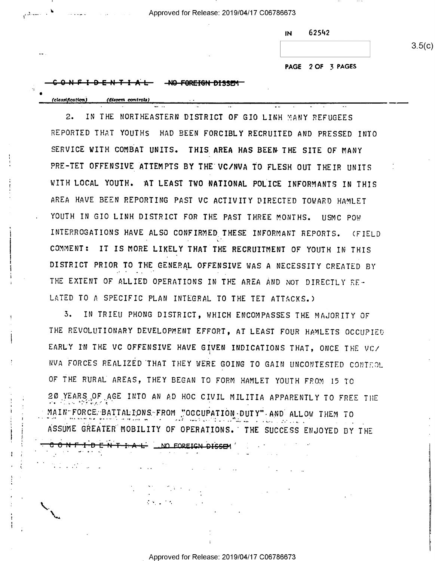11' . \* - Approved for Release: 2019/04/17 C06786673

nu 62SA2

 $3.5(c)$ 

PAGE 2 OF 3 PAGES

## $-1$  D E N T I A L  $-$  NO FOREIGN DISSEM

CONFIDENT-FALE IN DEOREIGN DISSEM

 $\sim 100$  km s  $^{-1}$ 

(classification) (dissem controls)

i

', ,1..

 $\sim$ 

i

Z

v

>

 $\ddotsc$  $\ddot{\phantom{0}}$ 

2. IN THE NORTHEASTERN DISTRICT OF GIO LINH MANY REFUGEES REPORTED THAT YOUTHS HAD BEEN FORCIBLY RECRUITED AND PRESSED INTO SERVICE WITH COMBAT UNITS. THIS AREA HAS BEEN THE SITE OF MANY PRE-TET OFFENSIVE ATTEMPTS BY THE VC/NVA TO FLESH OUT THEIR UNITS WITH LOCAL YOUTH. AT LEAST TWO NATIONAL POLICE INFORMANTS IN THIS AREA HAVE BEEN REPORTING PAST VC ACTIVITY DIRECTED TOWARD HAMLET YOUTH IN GIO LINH DISTRICT FOR THE PAST THREE MONTHS. USMC POW INTERROGATIONS HAVE ALSO CONFIRMED THESE INFORMANT REPORTS. (FIELD . . |\_\_' COMMENT: IT IS MORE LIKELY THAT THE RECRUITMENT OF YOUTH IN THIS DISTRICT PRIOR TO THE GENERAL OFFENSIVE WAS A NECESSITY CREATED BY THE EXTENT OF ALLIED OPERATIONS IN THE AREA AND NOT DIRECTLY RE-LATED TO A SPECIFIC PLAN INTEGRAL TO THE TET ATTACKS.)

- -

3. IN TRIEU PHONG DISTRICT, WHICH ENCOMPASSES THE MAJORITY OF THE REVOLUTIONARY DEVELOPMENT EFFORT, AT LEAST FOUR HAMLETS OCCUPIED EARLY IN THE VC OFFENSIVE HAVE GIVEN INDICATIONS THAT, ONCE THE VC/ NVA FORCES REALIZED THAT THEY WERE GOING TO GAIN UNCONTESTED CONTROL OF THE RURAL AREAS, THEY BEGAN TO FORM HAMLET YOUTH FROM 15 TO 20 YEARS OF AGE INTO AN AD HOC CIVIL MILITIA APPARENTLY TO FREE THE MAIN"FORCE: BATTALIONS-FROM ."OCCUPATION-DUTY" AND ALLOW THEM TO  $\mathcal{F}^{\mathcal{P}}(\mathcal{F}^{\mathcal{P}}) = \mathcal{F}^{\mathcal{P}}(\mathcal{F}^{\mathcal{P}})$  . In the set of the set of the set of the set of the set of the set of the set of the set of the set of the set of the set of the set of the set of the set of the ASSUME GREATER MOBILITY OF OPERATIONS.' THE SUCCESS ENJOYED BY THE